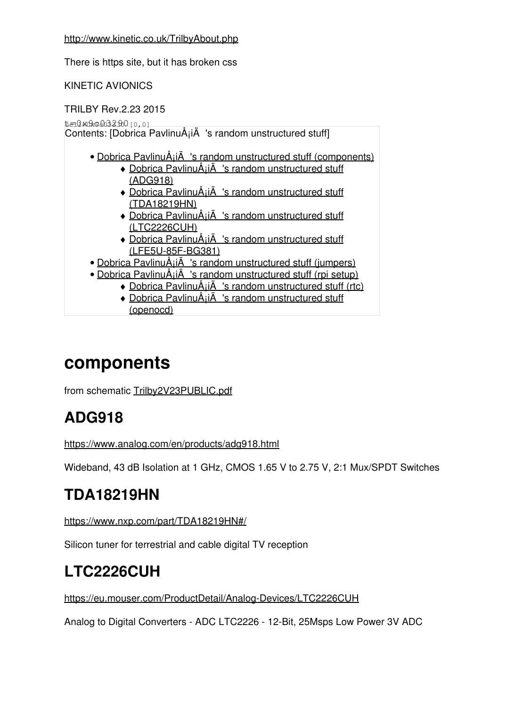#### <http://www.kinetic.co.uk/TrilbyAbout.php>

There is https site, but it has broken css

KINETIC AVIONICS

TRILBY Rev.2.23 2015

| t=0x0x0d0329010.01                                                        |  |  |  |  |  |
|---------------------------------------------------------------------------|--|--|--|--|--|
| Contents: [Dobrica PavlinuÅ <sub>l</sub> iÄ 's random unstructured stuff] |  |  |  |  |  |
|                                                                           |  |  |  |  |  |
| · Dobrica PavlinuÅiiÄ 's random unstructured stuff (components)           |  |  |  |  |  |
| • Dobrica PavlinuÅ <sub>i</sub> jÄ 's random unstructured stuff           |  |  |  |  |  |
| (ADG918)                                                                  |  |  |  |  |  |
| • Dobrica PavlinuÅjiÄ 's random unstructured stuff                        |  |  |  |  |  |
| (TDA18219HN)                                                              |  |  |  |  |  |
| • Dobrica PavlinuÅjiÄ 's random unstructured stuff                        |  |  |  |  |  |
| <u>(LTC2226CUH)</u>                                                       |  |  |  |  |  |
| • Dobrica PavlinuÅijÄ 's random unstructured stuff                        |  |  |  |  |  |
| (LFE5U-85F-BG381)                                                         |  |  |  |  |  |
| · Dobrica PavlinuÅiiÄ 's random unstructured stuff (jumpers)              |  |  |  |  |  |
| • Dobrica PavlinuÅiiÄ 's random unstructured stuff (rpi setup)            |  |  |  |  |  |
| • Dobrica PavlinuÅjiÄ 's random unstructured stuff (rtc)                  |  |  |  |  |  |

• Dobrica PavlinuA<sub>i</sub>iA 's random unstructured stuff [\(openocd\)](https://saturn.ffzg.hr/rot13/index.cgi?dobrica_pavlinu%C5%A1i%C4%87_s_random_unstructured_stuff#openocd)

## **components**

from schematic [Trilby2V23PUBLIC.pdf](https://saturn.ffzg.hr/rot13/index.cgi/Trilby2V23PUBLIC.pdf?action=attachments_download;page_name=trilby;id=20211224105639-0-28253)

### **ADG918**

<https://www.analog.com/en/products/adg918.html>

Wideband, 43 dB Isolation at 1 GHz, CMOS 1.65 V to 2.75 V, 2:1 Mux/SPDT Switches

## **TDA18219HN**

<https://www.nxp.com/part/TDA18219HN#/>

Silicon tuner for terrestrial and cable digital TV reception

# **LTC2226CUH**

<https://eu.mouser.com/ProductDetail/Analog-Devices/LTC2226CUH>

Analog to Digital Converters - ADC LTC2226 - 12-Bit, 25Msps Low Power 3V ADC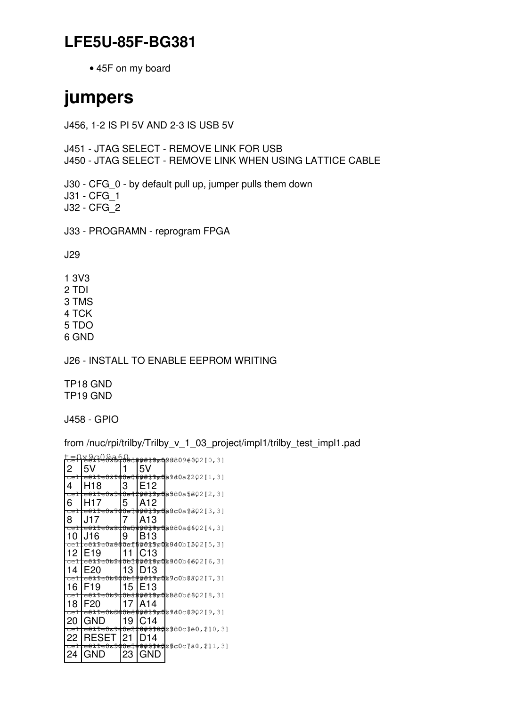### **LFE5U-85F-BG381**

• 45F on my board

# **jumpers**

J456, 1-2 IS PI 5V AND 2-3 IS USB 5V

J451 - JTAG SELECT - REMOVE LINK FOR USB J450 - JTAG SELECT - REMOVE LINK WHEN USING LATTICE CABLE J30 - CFG 0 - by default pull up, jumper pulls them down

J31 - CFG\_1 J32 - CFG\_2

J33 - PROGRAMN - reprogram FPGA

J29

1 3V3

2 TDI

3 TMS

4 TCK

5 TDO

6 GND

J26 - INSTALL TO ENABLE EEPROM WRITING

TP18 GND TP19 GND

J458 - GPIO

from /nuc/rpi/trilby/Trilby\_v\_1\_03\_project/impl1/trilby\_test\_impl1.pad

|           | x 9c              |     |                 |                                                                   |
|-----------|-------------------|-----|-----------------|-------------------------------------------------------------------|
| 2         | 5٧                | 1   | 5V              | <del>9Ф@@OI©E</del> @D80809@002I0,3]                              |
| cei<br>4  | H18               | З   | E12             | <del>.e0xDe0&amp;T\$QaQ\$@OXDe</del> @æ94OaZ2O2[1,3]              |
|           |                   |     |                 | <del>cel<b>le0x9e0x9@0a4200x2c0</b></del> \$900a5002[2,3]         |
| 6         | H17               | 5   | A12             |                                                                   |
|           |                   |     |                 | <del>cel<b>le0kDe0a900aI@00kBe0</b></del> p8c0a9 <b>3</b> 02[3,3] |
| 8         | .117              | 7   | A13             |                                                                   |
| cel       |                   |     |                 | <del>.e0xDe0x8<b>c0</b>aHd0xDe0</del> *080ad602I4,3]              |
| 10        | J16               | 9   | B <sub>13</sub> | <del>.e0x9e0¤00c[≸@0x9e</del> @b040b1302[5,3]                     |
| 12        | IE19              | 11  | IC13            |                                                                   |
|           |                   |     |                 | <del>.e0x9e0b2@0bIX@0x0e</del> 0b900b4602[6,3]                    |
| 14        | F20               |     | 13 ID13         |                                                                   |
| cei       |                   |     |                 | <del>.e0xDeOb500b\$#@0xDeO</del> b9cOb8a02[7,3]                   |
| 16        | IF19              |     | 15 IE13         |                                                                   |
|           |                   |     |                 | <del>le0iDe0b9¢0b4&amp;00iBe0</del> bB80b¢602[8,3]                |
| 18        | <b>F20</b>        |     | 17 I A 14       |                                                                   |
| cei       |                   |     |                 | <del>.e0xDe0bd\$0b4\$0\$9;0</del> b940cQ202[9,3]                  |
| 20        | GND               |     | 19 IC14         |                                                                   |
| ceł       |                   |     |                 | <del> c0iDc0r9d0c1100@D0</del> 0r900c3d0,210,3]                   |
| 22<br>cel | RESE <sup>-</sup> | -21 | D14             | <del>.e0xDe0x500e\$@@@DD\$</del> D&Dc0c7a0,211,3]                 |
| 24        | GND               | 23  | GND)            |                                                                   |
|           |                   |     |                 |                                                                   |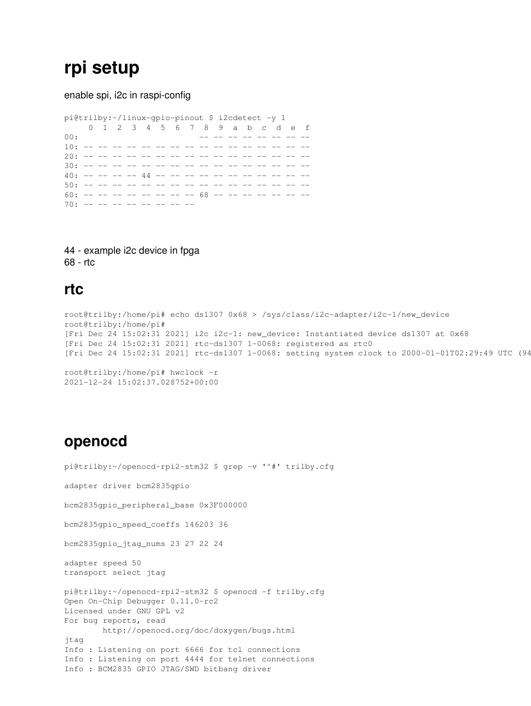### **rpi setup**

enable spi, i2c in raspi-config

pi@trilby:~/linux-gpio-pinout \$ i2cdetect -y 1 0 1 2 3 4 5 6 7 8 9 a b c d e f  $00:$  ---------------10: -- -- -- -- -- -- -- -- -- -- -- -- -- -- -- -- 20: -- -- -- -- -- -- -- -- -- -- -- -- -- -- -- -- 30: -- -- -- -- -- -- -- -- -- -- -- -- -- -- -- --  $40:$  -- -- --  $44$  -- -- -- -- -- -- -- -- -- --50: -- -- -- -- -- -- -- -- -- -- -- -- -- -- -- --  $60:$  -- -- -- -- -- -- -- --  $68$  -- -- -- -- -- -- -- $70:$  -- -- -- -- -- -- -- --

44 - example i2c device in fpga 68 - rtc

#### **rtc**

```
root@trilby:/home/pi# echo ds1307 0x68 > /sys/class/i2c-adapter/i2c-1/new_device
root@trilby:/home/pi#
[Fri Dec 24 15:02:31 2021] i2c i2c-1: new_device: Instantiated device ds1307 at 0x68
[Fri Dec 24 15:02:31 2021] rtc-ds1307 1-0068: registered as rtc0
[Fri Dec 24 15:02:31 2021] rtc-ds1307 1-0068: setting system clock to 2000-01-01T02:29:49 UTC (94
```

```
root@trilby:/home/pi# hwclock -r
2021-12-24 15:02:37.028752+00:00
```
### **openocd**

pi@trilby:~/openocd-rpi2-stm32 \$ grep -v '^#' trilby.cfg adapter driver bcm2835gpio bcm2835gpio\_peripheral\_base 0x3F000000 bcm2835gpio\_speed\_coeffs 146203 36 bcm2835gpio\_jtag\_nums 23 27 22 24 adapter speed 50 transport select jtag pi@trilby:~/openocd-rpi2-stm32 \$ openocd -f trilby.cfg Open On-Chip Debugger 0.11.0-rc2 Licensed under GNU GPL v2 For bug reports, read http://openocd.org/doc/doxygen/bugs.html jtag Info : Listening on port 6666 for tcl connections Info : Listening on port 4444 for telnet connections Info : BCM2835 GPIO JTAG/SWD bitbang driver